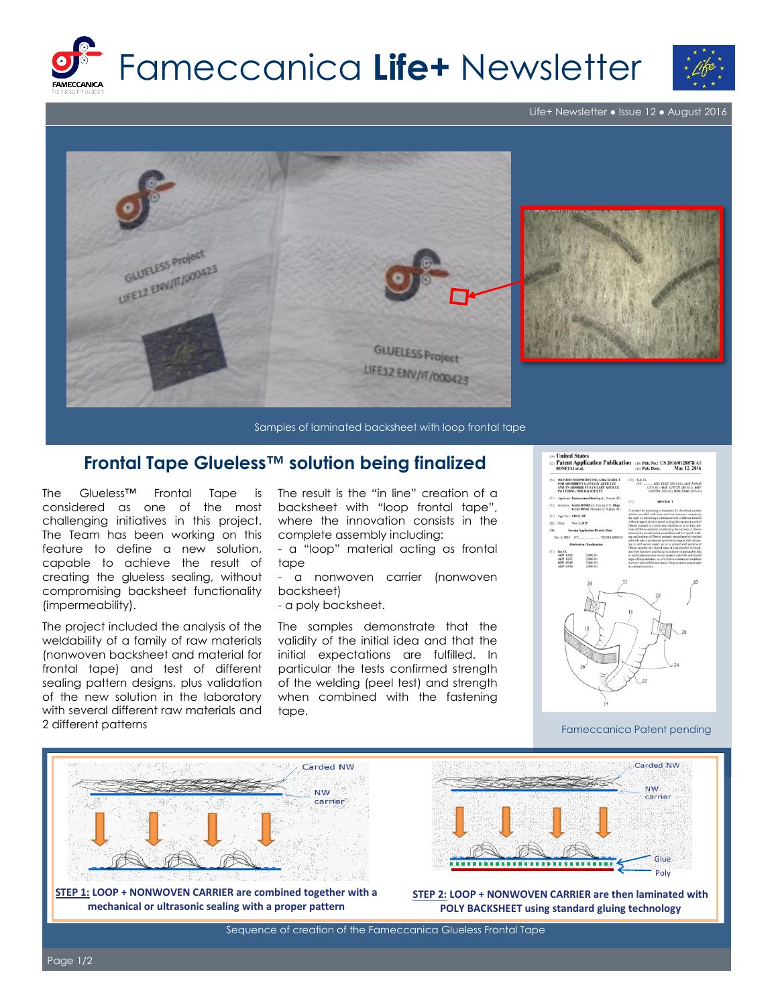

Life+ Newsletter ● Issue 12 ● August 2016



Samples of laminated backsheet with loop frontal tape

## **Frontal Tape Glueless™ solution being finalized**

The Glueless™ Frontal Tape is considered as one of the most challenging initiatives in this project. The Team has been working on this feature to define a new solution, capable to achieve the result of creating the glueless sealing, without compromising backsheet functionality (impermeability).

The project included the analysis of the weldability of a family of raw materials (nonwoven backsheet and material for frontal tape) and test of different sealing pattern designs, plus validation of the new solution in the laboratory with several different raw materials and 2 different patterns

The result is the "in line" creation of a backsheet with "loop frontal tape", where the innovation consists in the complete assembly including:

- a "loop" material acting as frontal tape

- a nonwoven carrier (nonwoven backsheet)

- a poly backsheet.

The samples demonstrate that the validity of the initial idea and that the initial expectations are fulfilled. In particular the tests confirmed strength of the welding (peel test) and strength when combined with the fastening tape.



## Fameccanica Patent pending